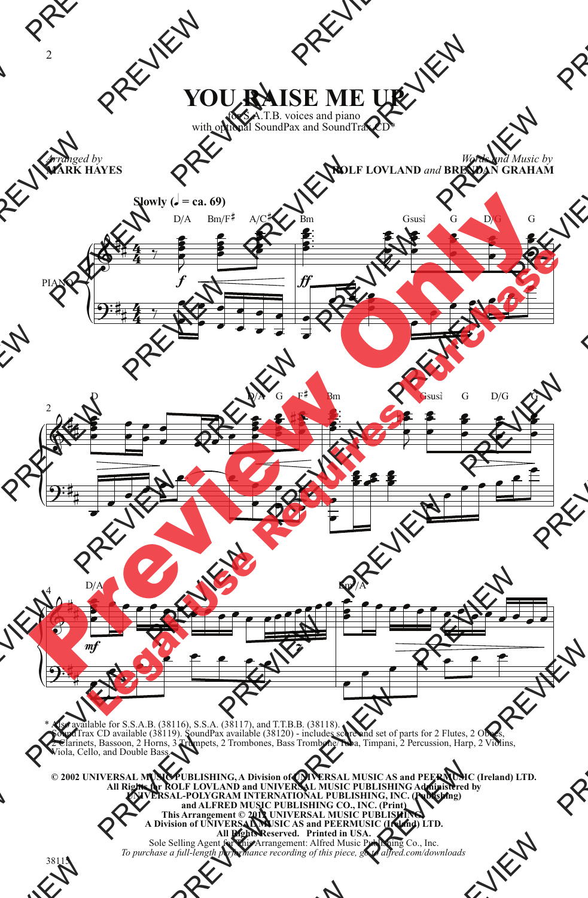## **YOU RAISE ME UP**

for S.A.T.B. voices and piano with optional SoundPax and SoundTrax CD\*

*Words and Music by*

 $\left\{\rule{0pt}{12pt}\right\}$  $\left\{ \right\}$  **MARK HAYES Slowly** ( $\sqrt{ }$  = ca. 69) **ROLF LOVLAND** *and* **BRENDAN GRAHAM** PIANO 2 4  $\frac{1}{2}$  $\frac{4}{4}$ 4  $\frac{4}{4}$  $\frac{\partial}{\partial \theta}$  $\sharp$  $D/A$  Bm/F#  $A/C^{\#}$ ff  $G$  G  $D/G$  G <u> 9:</u> ‡<br>†‡ f  $\delta^*$  $\sharp$ D D/A G  $\mathbb{F}^{\#}$  Bm Gsus $\frac{2}{3}$  G D/G G <u>ี่ วุะ</u> #<br>#  $\frac{1}{2}$ H. D/A mf Em7/A 7 9  $\frac{1}{2}$  $\frac{1}{7}$ रू<br>१  $\overline{z}$ é  $\frac{1}{2}$ é<br>S **Bm** z<br>S  $\frac{1}{1}$  $\vdots$  $\frac{1}{2}$  $\frac{1}{2}$ ₹  $\frac{2}{5}$  $\frac{1}{\sqrt{1-\frac{1}{2}}}$   $\frac{1}{\epsilon}$ s  $\frac{1}{2}$  $\frac{1}{\sqrt{1-\frac{1}{2}}}$  $\begin{array}{c} \bullet \\ \bullet \\ \bullet \end{array}$  $\overline{\phantom{a}}$ ╛  $\overline{\phantom{a}}$  $\overline{\phantom{0}}$  $\overline{\phantom{a}}$  $\overline{\bullet}$  $\overline{\phantom{a}}$  $\begin{array}{c} \bullet \\ \bullet \\ \bullet \end{array}$  $\frac{1}{\sqrt{1-\frac{1}{2}}}$  s<br>2  $\frac{2}{\pi}$  $\frac{1}{\sqrt{2}}$  $\frac{1}{\sqrt{2}}$  $\begin{array}{c} \begin{array}{c} \hline \end{array} \end{array}$ ě É 2 E 15 **PE**  $\vdots$  $\vdots$  $\overline{\mathcal{L}}$  $\overline{\bullet}$ Ļ ₹  $\frac{2}{\epsilon}$  $\frac{2}{\sqrt{2}}$  $\frac{2}{3}$  $\frac{1}{\epsilon}$ g  $\overline{\bullet}$ FIAN  $\frac{1}{\sqrt{2}}$  $\frac{1}{\sqrt{2}}$  $\mathbf{C}$  $\overline{\bullet}$  $\frac{1}{2}$   $\begin{array}{c|c|c|c|c} \hline \rule{0pt}{2ex} & \rule{0pt}{2ex} & \rule{0pt}{2ex} & \rule{0pt}{2ex} \\ \hline \rule{0pt}{2ex} & \rule{0pt}{2ex} & \rule{0pt}{2ex} & \rule{0pt}{2ex} \\ \hline \rule{0pt}{2ex} & \rule{0pt}{2ex} & \rule{0pt}{2ex} & \rule{0pt}{2ex} \\ \hline \rule{0pt}{2ex} & \rule{0pt}{2ex} & \rule{0pt}{2ex} & \rule{0pt}{2ex} \\ \hline \rule{0pt}{2ex} & \rule{0pt}{2ex} & \rule{0pt}{2ex} &$ E <u> erromando este </u>  $\frac{1}{2}$  $\frac{1}{2}$  PREVIEW PREVIEW PREVIEW PREVIEW PREVIEW PREVIEW PREVIEW PREVIEW PREVIEW PREVIEW PREVIEW PREVIEW PREVIEW PREVIEW PREVIEW PREVIEW PREVIEW PREVIEW PREVIEW PREVIEW PREVIEW PREVIEW PREVIEW PREVIEW PREVIEW PREVIEW PREVIEW PREVI PREVIEW PREVIEW PREVIEW PREVIEW PREVIEW PREVIEW PREVIEW PREVIEW PREVIEW PREVIEW PREVIEW PREVIEW PREVIEW PREVIEW PREVIEW PREVIEW PREVIEW PREVIEW PREVIEW PREVIEW PREVIEW PREVIEW PREVIEW PREVIEW PREVIEW PREVIEW PREVIEW PREVI PREVIEW PREVIEW PREVIEW PREVIEW PREVIEW PREVIEW PREVIEW PREVIEW PREVIEW PREVIEW PREVIEW PREVIEW PREVIEW PREVIEW PREVIEW PREVIEW PREVIEW PREVIEW PREVIEW PREVIEW PREVIEW PREVIEW PREVIEW PREVIEW PREVIEW PREVIEW PREVIEW PREVIE PREVIEW PREVIEW PREVIEW PREVIEW PREVIEW PREVIEW PREVIEW PREVIEW PREVIEW PREVIEW PREVIEW PREVIEW PREVIEW PREVIEW PREVIEW PREVIEW PREVIEW PREVIEW PREVIEW PREVIEW PREVIEW PREVIEW PREVIEW PREVIEW PREVIEW PREVIEW PREVIEW PREVIE PREVIEW PREVIEW PREVIEW PREVIEW PREVIEW PREVIEW PREVIEW PREVIEW PREVIEW PREVIEW PREVIEW PREVIEW PREVIEW PREVIEW PREVIEW PREVIEW PREVIEW PREVIEW PREVIEW PREVIEW PREVIEW PREVIEW PREVIEW PREVIEW PREVIEW PREVIEW PREVIEW PREVIE PREVIEW PREVIEW PREVIEW PREVIEW PREVIEW PREVIEW PREVIEW PREVIEW PREVIEW PREVIEW PREVIEW PREVIEW PREVIEW PREVIEW PREVIEW PREVIEW PREVIEW PREVIEW PREVIEW PREVIEW PREVIEW PREVIEW PREVIEW PREVIEW PREVIEW PREVIEW PREVIEW PREVIE PREVIEW PREVIEW PREVIEW PREVIEW PREVIEW PREVIEW PREVIEW PREVIEW PREVIEW PREVIEW PREVIEW PREVIEW PREVIEW PREVIEW PREVIEW PREVIEW PREVIEW PREVIEW PREVIEW PREVIEW PREVIEW PREVIEW PREVIEW PREVIEW PREVIEW PREVIEW PREVIEW PREVIE PREVIEW PREVIEW PREVIEW PREVIEW PREVIEW PREVIEW PREVIEW PREVIEW PREVIEW PREVIEW PREVIEW PREVIEW PREVIEW PREVIEW PREVIEW PREVIEW PREVIEW PREVIEW PREVIEW PREVIEW PREVIEW PREVIEW PREVIEW PREVIEW PREVIEW PREVIEW PREVIEW PREVIEW PREVIEW PREVIEW PREVIEW PREVIEW PREVIEW PREVIEW PREVIEW PREVIEW PREVIEW PREVIEW PREVIEW PREVIEW PREVIEW PREVIE Emply<br>
Part of the Ministers of the Ministers of the Ministers of the Ministers of the Ministers of the Ministers of the Ministers of the Ministers of the Ministers of the Ministers of the Ministers of the Ministers of th PREVIEW PREVIEW PREVIEW PREVIEW PREVIEW PREVIEW PREVIEW PREVIEW PREVIEW PREVIEW PREVIEW PREVIEW PREVIEW PREVIEW PREVIEW PREVIEW PREVIEW PREVIEW PREVIEW PREVIEW PREVIEW PREVIEW PREVIEW PREVIEW PREVIEW PREVIEW PREVIEW PREVI Preview Only 1990 Legal Use Requires Purchase Requires Purchase Requires Purchase Requires Purchase Requires Purchase Requires P<br>1980 - Purchase Requires Purchase Requires Purchase Requires Purchase Requires Purchase Requires Purchase Requi

\* Also available for S.S.A.B. (38116), S.S.A. (38117), and T.T.B.B. (38118).<br>SoundTrax CD available (38119). SoundPax available (38120) - includes score and set of parts for 2 Flutes, 2 Oboes,<br>2 Clarinets, Bassoon, 2 Horns Viola, Cello, and Double Bass.

**© 2002 UNIVERSAL MUSIC PUBLISHING, A Division of UNIVERSAL MUSIC AS and PEERMUSIC (Ireland) LTD. All Rights for ROLF LOVLAND and UNIVERSAL MUSIC PUBLISHING Administered by UNIVERSAL-POLYGRAM INTERNATIONAL PUBLISHING, INC. (Publishing) and ALFRED MUSIC PUBLISHING CO., INC. (Print) This Arrangement © 2012 UNIVERSAL MUSIC PUBLISHING, A Division of UNIVERSAL MUSIC AS and PEERMUSIC (Ireland) LTD. All Rights Reserved. Printed in USA.** Sole Selling Agent for This Arrangement: Alfred Music Publishing Co., Inc. *To purchase a full-length performance recording of this piece, go to alfred.com/downloads*

*Arranged by*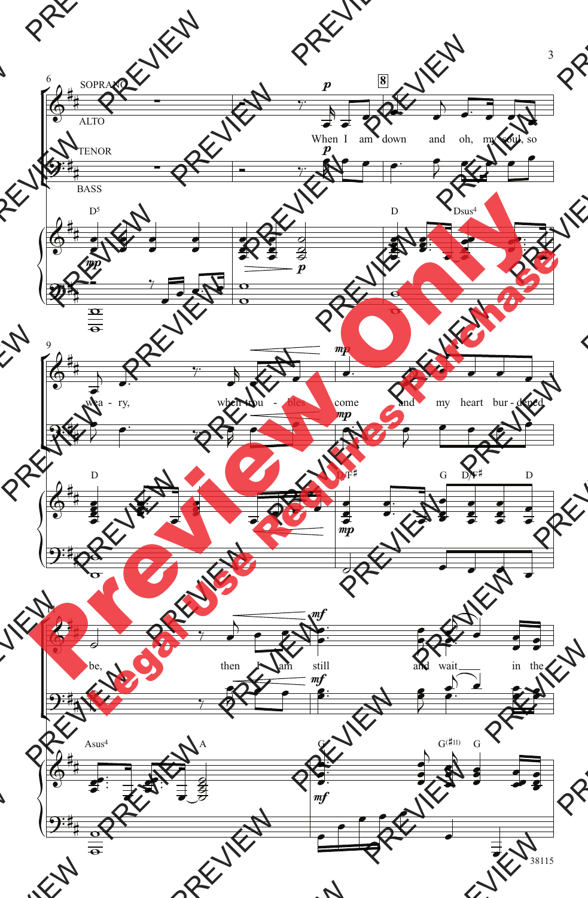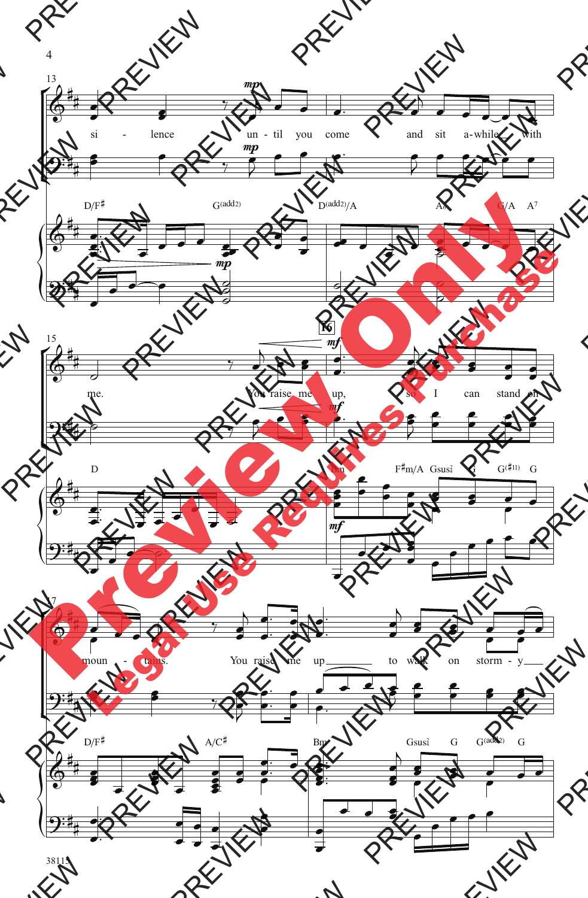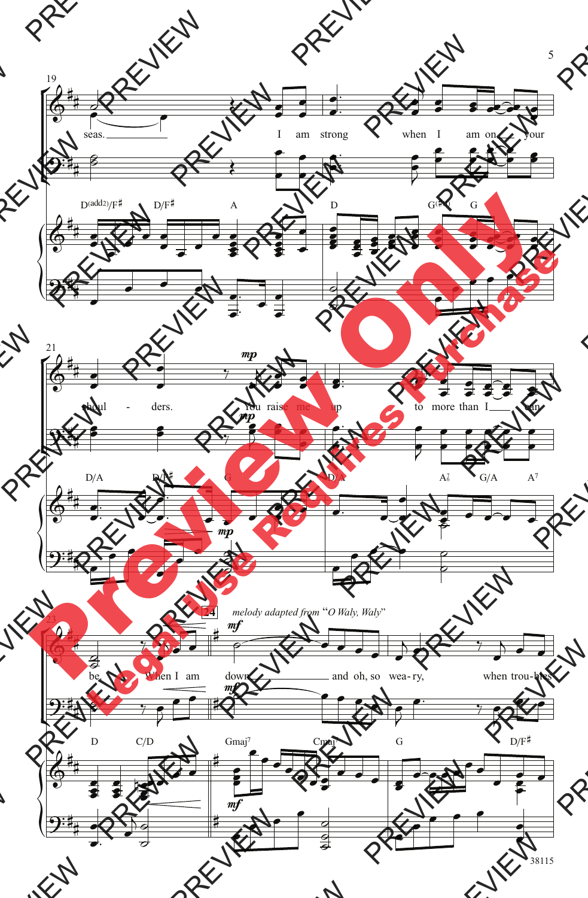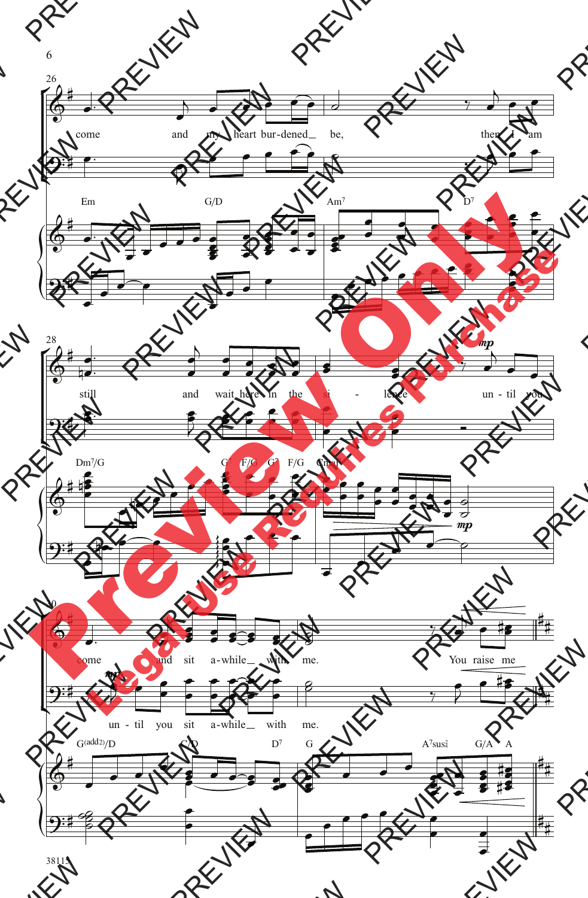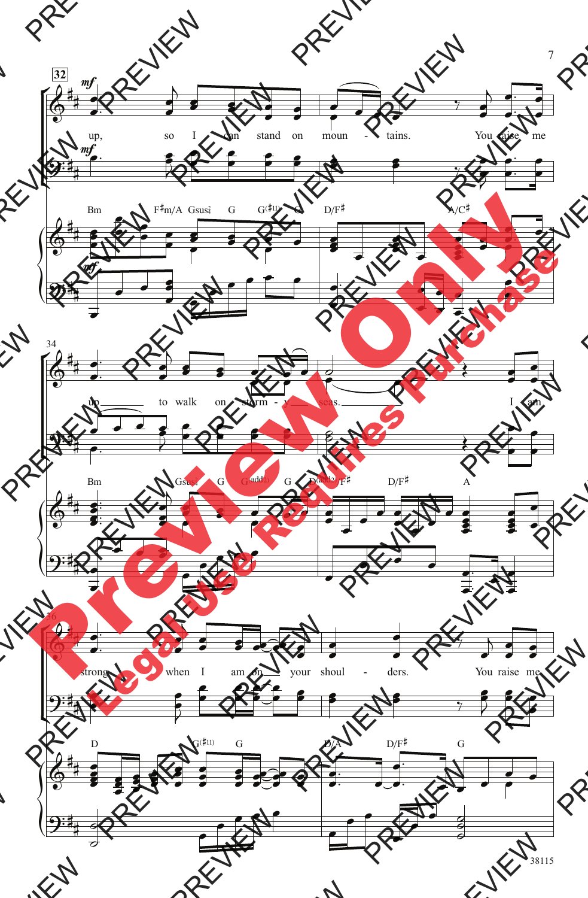

<sup>7</sup>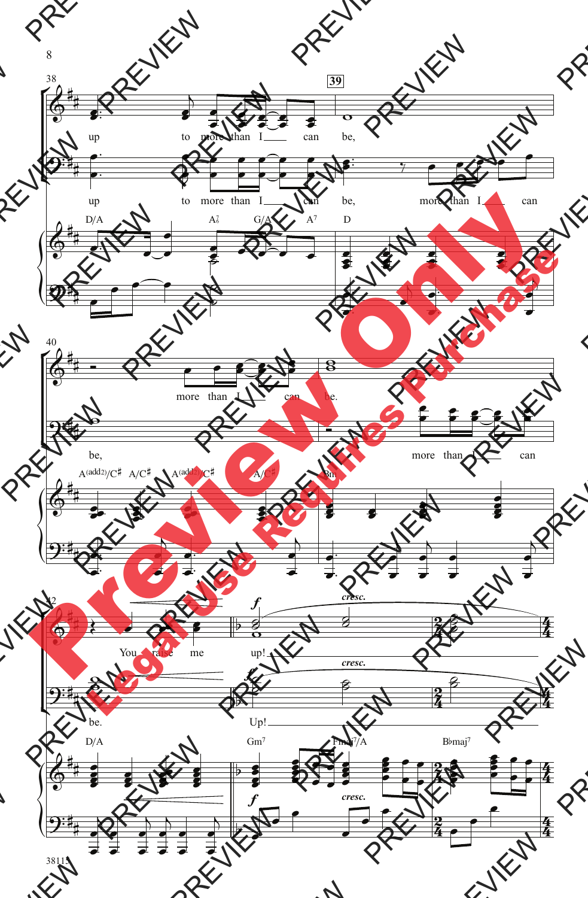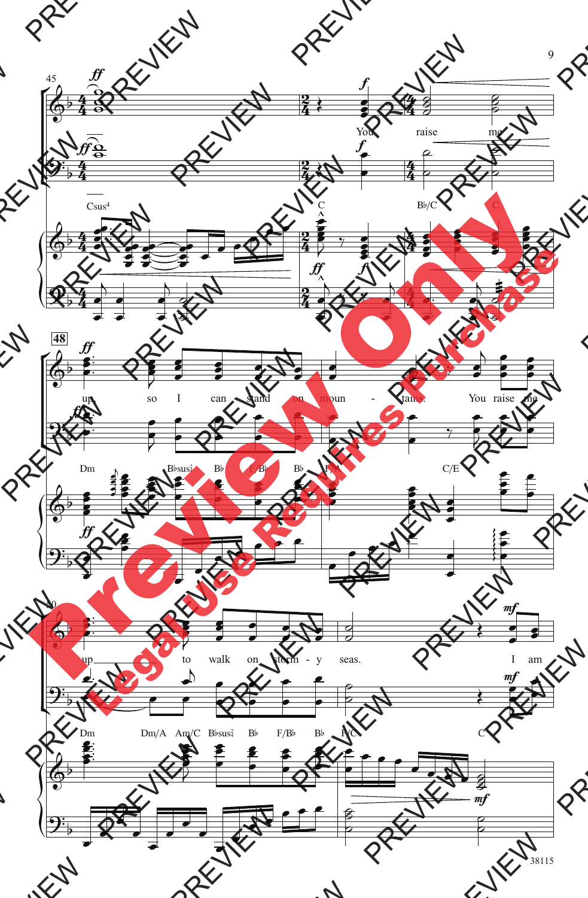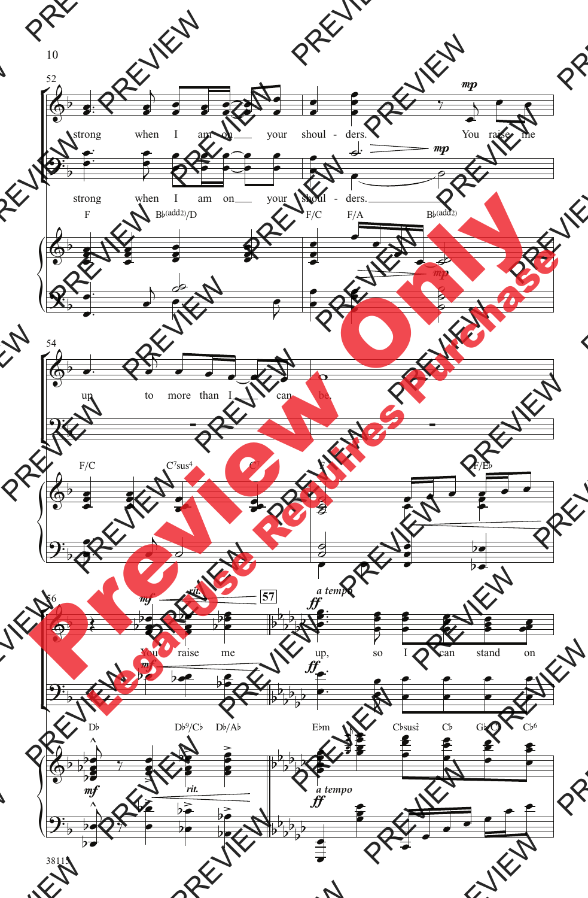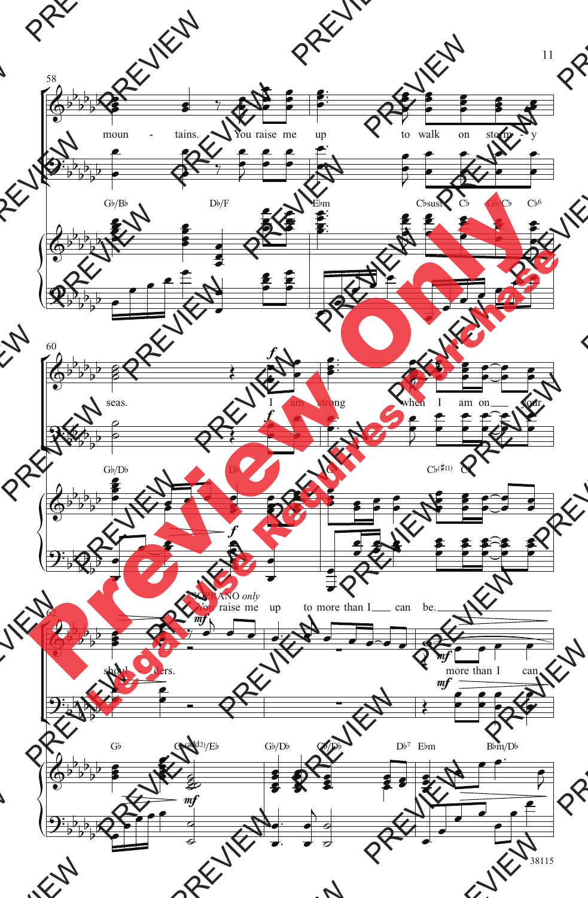